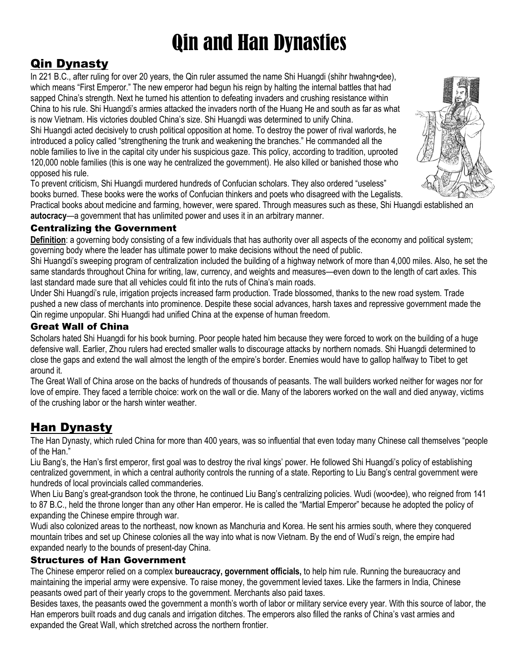# Qin and Han Dynasties

# Qin Dynasty

In 221 B.C., after ruling for over 20 years, the Qin ruler assumed the name Shi Huangdi (shihr hwahng•dee), which means "First Emperor." The new emperor had begun his reign by halting the internal battles that had sapped China's strength. Next he turned his attention to defeating invaders and crushing resistance within China to his rule. Shi Huangdi's armies attacked the invaders north of the Huang He and south as far as what is now Vietnam. His victories doubled China's size. Shi Huangdi was determined to unify China.

Shi Huangdi acted decisively to crush political opposition at home. To destroy the power of rival warlords, he introduced a policy called "strengthening the trunk and weakening the branches." He commanded all the noble families to live in the capital city under his suspicious gaze. This policy, according to tradition, uprooted 120,000 noble families (this is one way he centralized the government). He also killed or banished those who opposed his rule.

To prevent criticism, Shi Huangdi murdered hundreds of Confucian scholars. They also ordered "useless" books burned. These books were the works of Confucian thinkers and poets who disagreed with the Legalists.

Practical books about medicine and farming, however, were spared. Through measures such as these, Shi Huangdi established an **autocracy**—a government that has unlimited power and uses it in an arbitrary manner.

## Centralizing the Government

**Definition**: a governing body consisting of a few individuals that has authority over all aspects of the economy and political system; governing body where the leader has ultimate power to make decisions without the need of public.

Shi Huangdi's sweeping program of centralization included the building of a highway network of more than 4,000 miles. Also, he set the same standards throughout China for writing, law, currency, and weights and measures—even down to the length of cart axles. This last standard made sure that all vehicles could fit into the ruts of China's main roads.

Under Shi Huangdi's rule, irrigation projects increased farm production. Trade blossomed, thanks to the new road system. Trade pushed a new class of merchants into prominence. Despite these social advances, harsh taxes and repressive government made the Qin regime unpopular. Shi Huangdi had unified China at the expense of human freedom.

## Great Wall of China

Scholars hated Shi Huangdi for his book burning. Poor people hated him because they were forced to work on the building of a huge defensive wall. Earlier, Zhou rulers had erected smaller walls to discourage attacks by northern nomads. Shi Huangdi determined to close the gaps and extend the wall almost the length of the empire's border. Enemies would have to gallop halfway to Tibet to get around it.

The Great Wall of China arose on the backs of hundreds of thousands of peasants. The wall builders worked neither for wages nor for love of empire. They faced a terrible choice: work on the wall or die. Many of the laborers worked on the wall and died anyway, victims of the crushing labor or the harsh winter weather.

# Han Dynasty

The Han Dynasty, which ruled China for more than 400 years, was so influential that even today many Chinese call themselves "people of the Han."

Liu Bang's, the Han's first emperor, first goal was to destroy the rival kings' power. He followed Shi Huangdi's policy of establishing centralized government, in which a central authority controls the running of a state. Reporting to Liu Bang's central government were hundreds of local provincials called commanderies.

When Liu Bang's great-grandson took the throne, he continued Liu Bang's centralizing policies. Wudi (woo•dee), who reigned from 141 to 87 B.C., held the throne longer than any other Han emperor. He is called the "Martial Emperor" because he adopted the policy of expanding the Chinese empire through war.

Wudi also colonized areas to the northeast, now known as Manchuria and Korea. He sent his armies south, where they conquered mountain tribes and set up Chinese colonies all the way into what is now Vietnam. By the end of Wudi's reign, the empire had expanded nearly to the bounds of present-day China.

## Structures of Han Government

The Chinese emperor relied on a complex **bureaucracy, government officials,** to help him rule. Running the bureaucracy and maintaining the imperial army were expensive. To raise money, the government levied taxes. Like the farmers in India, Chinese peasants owed part of their yearly crops to the government. Merchants also paid taxes.

Besides taxes, the peasants owed the government a month's worth of labor or military service every year. With this source of labor, the Han emperors built roads and dug canals and irrigation ditches. The emperors also filled the ranks of China's vast armies and expanded the Great Wall, which stretched across the northern frontier.